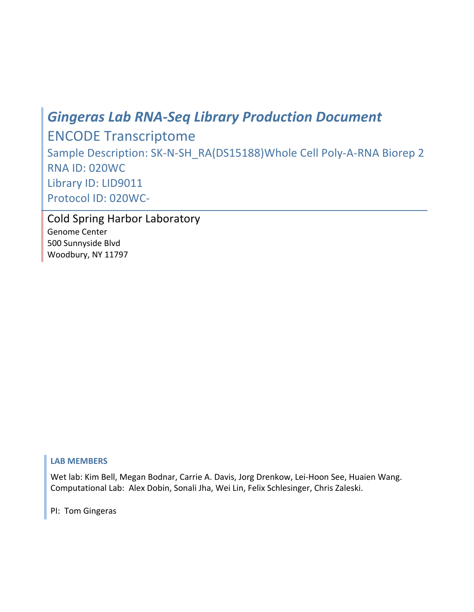# *Gingeras
Lab
RNA‐Seq
Library
Production
Document*

ENCODE
Transcriptome Sample
Description: SK‐N‐SH\_RA(DS15188)Whole
Cell
Poly‐A‐RNA
Biorep
2 RNA
ID: 020WC Library
ID: LID9011 Protocol
ID:
020WC‐

Cold
Spring
Harbor
Laboratory Genome
Center 500
Sunnyside
Blvd Woodbury,
NY
11797

# **LAB
MEMBERS**

Wet
lab:
Kim
Bell,
Megan
Bodnar,
Carrie
A.
Davis,
Jorg
Drenkow,
Lei‐Hoon
See,
Huaien
Wang. Computational
Lab:

Alex
Dobin,
Sonali
Jha,
Wei
Lin,
Felix
Schlesinger,
Chris
Zaleski.

PI:

Tom
Gingeras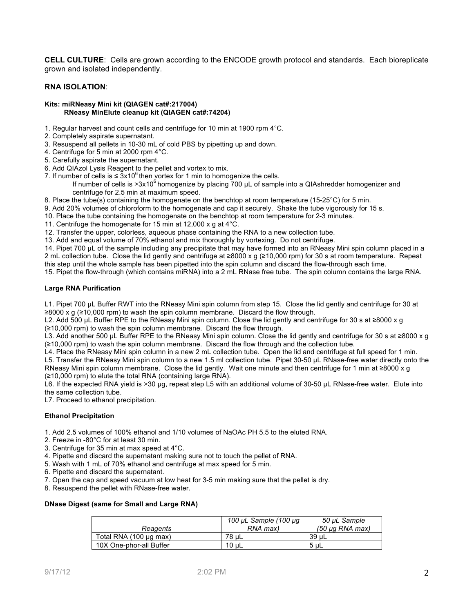**CELL CULTURE**: Cells are grown according to the ENCODE growth protocol and standards. Each bioreplicate grown and isolated independently.

## **RNA ISOLATION**:

#### **Kits: miRNeasy Mini kit (QIAGEN cat#:217004) RNeasy MinElute cleanup kit (QIAGEN cat#:74204)**

- 1. Regular harvest and count cells and centrifuge for 10 min at 1900 rpm 4°C.
- 2. Completely aspirate supernatant.
- 3. Resuspend all pellets in 10-30 mL of cold PBS by pipetting up and down.
- 4. Centrifuge for 5 min at 2000 rpm 4°C.
- 5. Carefully aspirate the supernatant.
- 6. Add QIAzol Lysis Reagent to the pellet and vortex to mix.
- 7. If number of cells is  $\leq 3x10^6$  then vortex for 1 min to homogenize the cells.
	- If number of cells is  $>3x10^6$  homogenize by placing 700  $\mu$ L of sample into a QIAshredder homogenizer and centrifuge for 2.5 min at maximum speed.
- 8. Place the tube(s) containing the homogenate on the benchtop at room temperature (15-25°C) for 5 min.
- 9. Add 20% volumes of chloroform to the homogenate and cap it securely. Shake the tube vigorously for 15 s.
- 10. Place the tube containing the homogenate on the benchtop at room temperature for 2-3 minutes.
- 11. Centrifuge the homogenate for 15 min at 12,000 x g at 4°C.
- 12. Transfer the upper, colorless, aqueous phase containing the RNA to a new collection tube.

13. Add and equal volume of 70% ethanol and mix thoroughly by vortexing. Do not centrifuge.

14. Pipet 700 µL of the sample including any precipitate that may have formed into an RNeasy Mini spin column placed in a 2 mL collection tube. Close the lid gently and centrifuge at ≥8000 x g (≥10,000 rpm) for 30 s at room temperature. Repeat this step until the whole sample has been pipetted into the spin column and discard the flow-through each time.

15. Pipet the flow-through (which contains miRNA) into a 2 mL RNase free tube. The spin column contains the large RNA.

## **Large RNA Purification**

L1. Pipet 700 uL Buffer RWT into the RNeasy Mini spin column from step 15. Close the lid gently and centrifuge for 30 at ≥8000 x g (≥10,000 rpm) to wash the spin column membrane. Discard the flow through.

L2. Add 500 µL Buffer RPE to the RNeasy Mini spin column. Close the lid gently and centrifuge for 30 s at ≥8000 x g (≥10,000 rpm) to wash the spin column membrane. Discard the flow through.

L3. Add another 500 µL Buffer RPE to the RNeasy Mini spin column. Close the lid gently and centrifuge for 30 s at ≥8000 x g (≥10,000 rpm) to wash the spin column membrane. Discard the flow through and the collection tube.

L4. Place the RNeasy Mini spin column in a new 2 mL collection tube. Open the lid and centrifuge at full speed for 1 min. L5. Transfer the RNeasy Mini spin column to a new 1.5 ml collection tube. Pipet 30-50 µL RNase-free water directly onto the RNeasy Mini spin column membrane. Close the lid gently. Wait one minute and then centrifuge for 1 min at ≥8000 x g (≥10,000 rpm) to elute the total RNA (containing large RNA).

L6. If the expected RNA yield is >30 µg, repeat step L5 with an additional volume of 30-50 µL RNase-free water. Elute into the same collection tube.

L7. Proceed to ethanol precipitation.

## **Ethanol Precipitation**

- 1. Add 2.5 volumes of 100% ethanol and 1/10 volumes of NaOAc PH 5.5 to the eluted RNA.
- 2. Freeze in -80°C for at least 30 min.
- 3. Centrifuge for 35 min at max speed at 4°C.
- 4. Pipette and discard the supernatant making sure not to touch the pellet of RNA.
- 5. Wash with 1 mL of 70% ethanol and centrifuge at max speed for 5 min.
- 6. Pipette and discard the supernatant.
- 7. Open the cap and speed vacuum at low heat for 3-5 min making sure that the pellet is dry.
- 8. Resuspend the pellet with RNase-free water.

## **DNase Digest (same for Small and Large RNA)**

|                         | 100 µL Sample (100 µg | 50 µL Sample    |
|-------------------------|-----------------------|-----------------|
| Reagents                | RNA max)              | (50 µg RNA max) |
| Total RNA (100 µg max)  | 78 uL                 | 39 uL           |
| 10X One-phor-all Buffer | 10 uL                 | -5 uL           |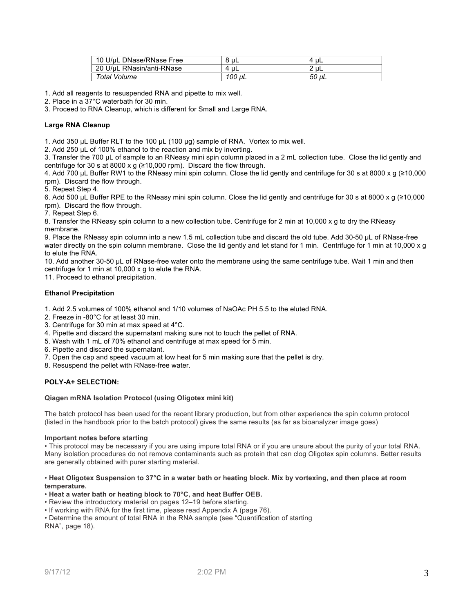| 10 U/uL DNase/RNase Free  | 8 uL      | uL<br>4 |
|---------------------------|-----------|---------|
| 20 U/uL RNasin/anti-RNase | ' uL<br>4 | $2u$ L  |
| Total Volume              | 100 uL    | 50 uL   |

1. Add all reagents to resuspended RNA and pipette to mix well.

2. Place in a 37°C waterbath for 30 min.

3. Proceed to RNA Cleanup, which is different for Small and Large RNA.

## **Large RNA Cleanup**

1. Add 350 µL Buffer RLT to the 100 µL (100 µg) sample of RNA. Vortex to mix well.

2. Add 250 µL of 100% ethanol to the reaction and mix by inverting.

3. Transfer the 700 µL of sample to an RNeasy mini spin column placed in a 2 mL collection tube. Close the lid gently and centrifuge for 30 s at 8000 x g  $(≥10,000$  rpm). Discard the flow through.

4. Add 700 µL Buffer RW1 to the RNeasy mini spin column. Close the lid gently and centrifuge for 30 s at 8000 x g (≥10,000 rpm). Discard the flow through.

5. Repeat Step 4.

6. Add 500 µL Buffer RPE to the RNeasy mini spin column. Close the lid gently and centrifuge for 30 s at 8000 x g (≥10,000 rpm). Discard the flow through.

7. Repeat Step 6.

8. Transfer the RNeasy spin column to a new collection tube. Centrifuge for 2 min at 10,000 x g to dry the RNeasy membrane.

9. Place the RNeasy spin column into a new 1.5 mL collection tube and discard the old tube. Add 30-50 µL of RNase-free water directly on the spin column membrane. Close the lid gently and let stand for 1 min. Centrifuge for 1 min at 10,000 x g to elute the RNA.

10. Add another 30-50 µL of RNase-free water onto the membrane using the same centrifuge tube. Wait 1 min and then centrifuge for 1 min at 10,000 x g to elute the RNA.

11. Proceed to ethanol precipitation.

#### **Ethanol Precipitation**

1. Add 2.5 volumes of 100% ethanol and 1/10 volumes of NaOAc PH 5.5 to the eluted RNA.

- 2. Freeze in -80°C for at least 30 min.
- 3. Centrifuge for 30 min at max speed at 4°C.
- 4. Pipette and discard the supernatant making sure not to touch the pellet of RNA.
- 5. Wash with 1 mL of 70% ethanol and centrifuge at max speed for 5 min.
- 6. Pipette and discard the supernatant.
- 7. Open the cap and speed vacuum at low heat for 5 min making sure that the pellet is dry.
- 8. Resuspend the pellet with RNase-free water.

## **POLY-A+ SELECTION:**

#### **Qiagen mRNA Isolation Protocol (using Oligotex mini kit)**

The batch protocol has been used for the recent library production, but from other experience the spin column protocol (listed in the handbook prior to the batch protocol) gives the same results (as far as bioanalyzer image goes)

#### **Important notes before starting**

• This protocol may be necessary if you are using impure total RNA or if you are unsure about the purity of your total RNA. Many isolation procedures do not remove contaminants such as protein that can clog Oligotex spin columns. Better results are generally obtained with purer starting material.

#### • **Heat Oligotex Suspension to 37°C in a water bath or heating block. Mix by vortexing, and then place at room temperature.**

#### • **Heat a water bath or heating block to 70°C, and heat Buffer OEB.**

• Review the introductory material on pages 12–19 before starting.

• If working with RNA for the first time, please read Appendix A (page 76).

• Determine the amount of total RNA in the RNA sample (see "Quantification of starting RNA", page 18).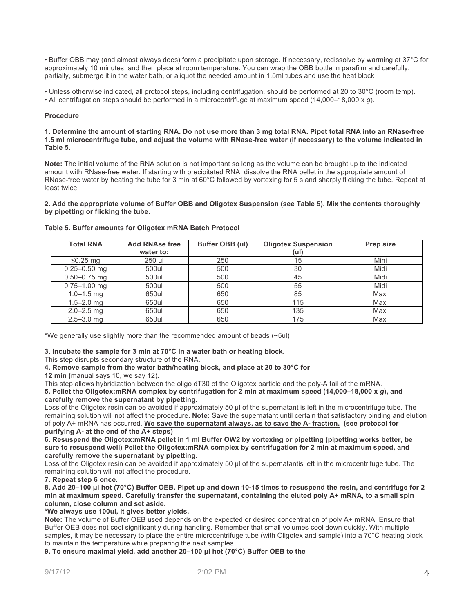• Buffer OBB may (and almost always does) form a precipitate upon storage. If necessary, redissolve by warming at 37°C for approximately 10 minutes, and then place at room temperature. You can wrap the OBB bottle in parafilm and carefully, partially, submerge it in the water bath, or aliquot the needed amount in 1.5ml tubes and use the heat block

• Unless otherwise indicated, all protocol steps, including centrifugation, should be performed at 20 to 30°C (room temp).

• All centrifugation steps should be performed in a microcentrifuge at maximum speed (14,000–18,000 x *g*).

## **Procedure**

**1. Determine the amount of starting RNA. Do not use more than 3 mg total RNA. Pipet total RNA into an RNase-free 1.5 ml microcentrifuge tube, and adjust the volume with RNase-free water (if necessary) to the volume indicated in Table 5.**

**Note:** The initial volume of the RNA solution is not important so long as the volume can be brought up to the indicated amount with RNase-free water. If starting with precipitated RNA, dissolve the RNA pellet in the appropriate amount of RNase-free water by heating the tube for 3 min at 60°C followed by vortexing for 5 s and sharply flicking the tube. Repeat at least twice.

**2. Add the appropriate volume of Buffer OBB and Oligotex Suspension (see Table 5). Mix the contents thoroughly by pipetting or flicking the tube.** 

| <b>Total RNA</b> | <b>Add RNAse free</b><br>water to: | Buffer OBB (ul) | <b>Oligotex Suspension</b><br>(ul) | Prep size |
|------------------|------------------------------------|-----------------|------------------------------------|-----------|
| $≤0.25$ mg       | 250 ul                             | 250             | 15                                 | Mini      |
| $0.25 - 0.50$ mg | 500ul                              | 500             | 30                                 | Midi      |
| $0.50 - 0.75$ mg | 500ul                              | 500             | 45                                 | Midi      |
| $0.75 - 1.00$ mg | 500ul                              | 500             | 55                                 | Midi      |
| $1.0 - 1.5$ mg   | 650ul                              | 650             | 85                                 | Maxi      |
| $1.5 - 2.0$ mg   | 650ul                              | 650             | 115                                | Maxi      |
| $2.0 - 2.5$ mg   | 650ul                              | 650             | 135                                | Maxi      |
| $2.5 - 3.0$ mg   | 650ul                              | 650             | 175                                | Maxi      |

#### **Table 5. Buffer amounts for Oligotex mRNA Batch Protocol**

\*We generally use slightly more than the recommended amount of beads (~5ul)

**3. Incubate the sample for 3 min at 70°C in a water bath or heating block.**

This step disrupts secondary structure of the RNA.

**4. Remove sample from the water bath/heating block, and place at 20 to 30°C for**

**12 min (**manual says 10, we say 12)**.**

This step allows hybridization between the oligo dT30 of the Oligotex particle and the poly-A tail of the mRNA.

**5. Pellet the Oligotex:mRNA complex by centrifugation for 2 min at maximum speed (14,000–18,000 x** *g***), and carefully remove the supernatant by pipetting.**

Loss of the Oligotex resin can be avoided if approximately 50  $\mu$  of the supernatant is left in the microcentrifuge tube. The remaining solution will not affect the procedure. **Note:** Save the supernatant until certain that satisfactory binding and elution of poly A+ mRNA has occurred. **We save the supernatant always, as to save the A- fraction. (see protocol for purifying A- at the end of the A+ steps)**

**6. Resuspend the Oligotex:mRNA pellet in 1 ml Buffer OW2 by vortexing or pipetting (pipetting works better, be sure to resuspend well) Pellet the Oligotex:mRNA complex by centrifugation for 2 min at maximum speed, and carefully remove the supernatant by pipetting.**

Loss of the Oligotex resin can be avoided if approximately 50 µl of the supernatantis left in the microcentrifuge tube. The remaining solution will not affect the procedure.

**7. Repeat step 6 once.**

**8. Add 20–100 µl hot (70°C) Buffer OEB. Pipet up and down 10-15 times to resuspend the resin, and centrifuge for 2 min at maximum speed. Carefully transfer the supernatant, containing the eluted poly A+ mRNA, to a small spin column, close column and set aside.**

**\*We always use 100ul, it gives better yields.** 

**Note:** The volume of Buffer OEB used depends on the expected or desired concentration of poly A+ mRNA. Ensure that Buffer OEB does not cool significantly during handling. Remember that small volumes cool down quickly. With multiple samples, it may be necessary to place the entire microcentrifuge tube (with Oligotex and sample) into a 70°C heating block to maintain the temperature while preparing the next samples.

**9. To ensure maximal yield, add another 20–100 µl hot (70°C) Buffer OEB to the**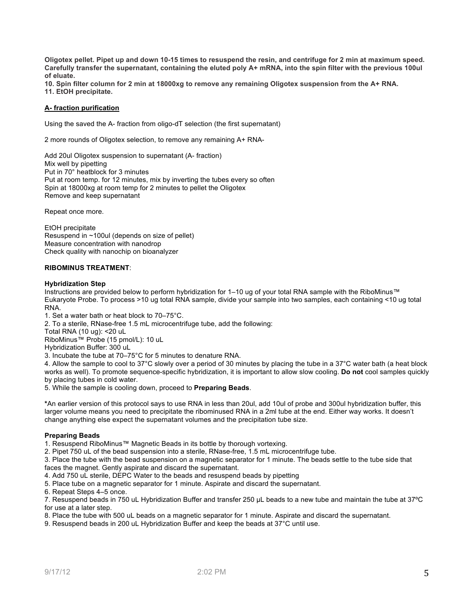**Oligotex pellet. Pipet up and down 10-15 times to resuspend the resin, and centrifuge for 2 min at maximum speed. Carefully transfer the supernatant, containing the eluted poly A+ mRNA, into the spin filter with the previous 100ul of eluate.** 

**10. Spin filter column for 2 min at 18000xg to remove any remaining Oligotex suspension from the A+ RNA. 11. EtOH precipitate.** 

## **A- fraction purification**

Using the saved the A- fraction from oligo-dT selection (the first supernatant)

2 more rounds of Oligotex selection, to remove any remaining A+ RNA-

Add 20ul Oligotex suspension to supernatant (A- fraction) Mix well by pipetting Put in 70° heatblock for 3 minutes Put at room temp. for 12 minutes, mix by inverting the tubes every so often Spin at 18000xg at room temp for 2 minutes to pellet the Oligotex Remove and keep supernatant

Repeat once more.

EtOH precipitate Resuspend in ~100ul (depends on size of pellet) Measure concentration with nanodrop Check quality with nanochip on bioanalyzer

## **RIBOMINUS TREATMENT**:

#### **Hybridization Step**

Instructions are provided below to perform hybridization for 1–10 ug of your total RNA sample with the RiboMinus™ Eukaryote Probe. To process >10 ug total RNA sample, divide your sample into two samples, each containing <10 ug total RNA.

1. Set a water bath or heat block to 70–75°C.

2. To a sterile, RNase-free 1.5 mL microcentrifuge tube, add the following:

Total RNA (10 ug): <20 uL

RiboMinus™ Probe (15 pmol/L): 10 uL

Hybridization Buffer: 300 uL

3. Incubate the tube at 70–75°C for 5 minutes to denature RNA.

4. Allow the sample to cool to 37°C slowly over a period of 30 minutes by placing the tube in a 37°C water bath (a heat block works as well). To promote sequence-specific hybridization, it is important to allow slow cooling. **Do not** cool samples quickly by placing tubes in cold water.

5. While the sample is cooling down, proceed to **Preparing Beads**.

**\***An earlier version of this protocol says to use RNA in less than 20ul, add 10ul of probe and 300ul hybridization buffer, this larger volume means you need to precipitate the ribominused RNA in a 2ml tube at the end. Either way works. It doesn't change anything else expect the supernatant volumes and the precipitation tube size.

## **Preparing Beads**

1. Resuspend RiboMinus™ Magnetic Beads in its bottle by thorough vortexing.

2. Pipet 750 uL of the bead suspension into a sterile, RNase-free, 1.5 mL microcentrifuge tube.

3. Place the tube with the bead suspension on a magnetic separator for 1 minute. The beads settle to the tube side that faces the magnet. Gently aspirate and discard the supernatant.

4. Add 750 uL sterile, DEPC Water to the beads and resuspend beads by pipetting

5. Place tube on a magnetic separator for 1 minute. Aspirate and discard the supernatant.

6. Repeat Steps 4–5 once.

7. Resuspend beads in 750 uL Hybridization Buffer and transfer 250 µL beads to a new tube and maintain the tube at 37ºC for use at a later step.

8. Place the tube with 500 uL beads on a magnetic separator for 1 minute. Aspirate and discard the supernatant.

9. Resuspend beads in 200 uL Hybridization Buffer and keep the beads at 37°C until use.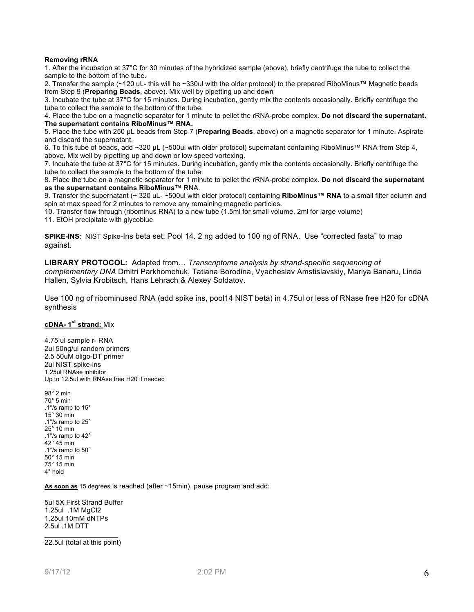## **Removing rRNA**

1. After the incubation at 37°C for 30 minutes of the hybridized sample (above), briefly centrifuge the tube to collect the sample to the bottom of the tube.

2. Transfer the sample (~120 uL- this will be ~330ul with the older protocol) to the prepared RiboMinus™ Magnetic beads from Step 9 (**Preparing Beads**, above). Mix well by pipetting up and down

3. Incubate the tube at 37°C for 15 minutes. During incubation, gently mix the contents occasionally. Briefly centrifuge the tube to collect the sample to the bottom of the tube.

4. Place the tube on a magnetic separator for 1 minute to pellet the rRNA-probe complex. **Do not discard the supernatant. The supernatant contains RiboMinus™ RNA.**

5. Place the tube with 250 µL beads from Step 7 (**Preparing Beads**, above) on a magnetic separator for 1 minute. Aspirate and discard the supernatant.

6. To this tube of beads, add ~320 µL (~500ul with older protocol) supernatant containing RiboMinus™ RNA from Step 4, above. Mix well by pipetting up and down or low speed vortexing.

7. Incubate the tube at 37°C for 15 minutes. During incubation, gently mix the contents occasionally. Briefly centrifuge the tube to collect the sample to the bottom of the tube.

8. Place the tube on a magnetic separator for 1 minute to pellet the rRNA-probe complex. **Do not discard the supernatant as the supernatant contains RiboMinus**™ RNA.

9. Transfer the supernatant (~ 320 uL- ~500ul with older protocol) containing **RiboMinus™ RNA** to a small filter column and spin at max speed for 2 minutes to remove any remaining magnetic particles.

10. Transfer flow through (ribominus RNA) to a new tube (1.5ml for small volume, 2ml for large volume)

11. EtOH precipitate with glycoblue

**SPIKE-INS**: NIST Spike-Ins beta set: Pool 14. 2 ng added to 100 ng of RNA. Use "corrected fasta" to map against.

**LIBRARY PROTOCOL:** Adapted from… *Transcriptome analysis by strand-specific sequencing of complementary DNA* Dmitri Parkhomchuk, Tatiana Borodina, Vyacheslav Amstislavskiy, Mariya Banaru, Linda Hallen, Sylvia Krobitsch, Hans Lehrach & Alexey Soldatov.

Use 100 ng of ribominused RNA (add spike ins, pool14 NIST beta) in 4.75ul or less of RNase free H20 for cDNA synthesis

## **cDNA- 1st strand:** Mix

4.75 ul sample r- RNA 2ul 50ng/ul random primers 2.5 50uM oligo-DT primer 2ul NIST spike-ins 1.25ul RNAse inhibitor Up to 12.5ul with RNAse free H20 if needed

98° 2 min 70° 5 min .1°/s ramp to 15° 15° 30 min .1°/s ramp to 25° 25° 10 min .1°/s ramp to 42° 42° 45 min .1°/s ramp to 50° 50° 15 min 75° 15 min 4° hold

**As soon as** 15 degrees is reached (after ~15min), pause program and add:

5ul 5X First Strand Buffer 1.25ul .1M MgCl2 1.25ul 10mM dNTPs 2.5ul .1M DTT

 $\_$ 22.5ul (total at this point)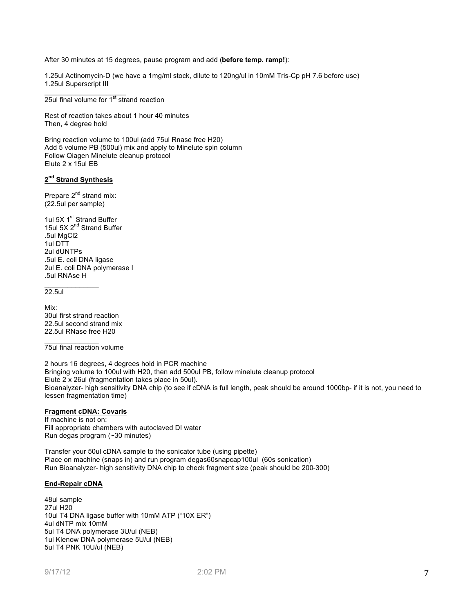After 30 minutes at 15 degrees, pause program and add (**before temp. ramp!**):

1.25ul Actinomycin-D (we have a 1mg/ml stock, dilute to 120ng/ul in 10mM Tris-Cp pH 7.6 before use) 1.25ul Superscript III

 $25$ ul final volume for  $1<sup>st</sup>$  strand reaction

 $\overline{\phantom{a}}$  , where  $\overline{\phantom{a}}$ 

Rest of reaction takes about 1 hour 40 minutes Then, 4 degree hold

Bring reaction volume to 100ul (add 75ul Rnase free H20) Add 5 volume PB (500ul) mix and apply to Minelute spin column Follow Qiagen Minelute cleanup protocol Elute 2 x 15ul EB

## **2nd Strand Synthesis**

Prepare 2<sup>nd</sup> strand mix: (22.5ul per sample)

1ul 5X 1<sup>st</sup> Strand Buffer 15ul 5X 2<sup>nd</sup> Strand Buffer .5ul MgCl2 1ul DTT 2ul dUNTPs .5ul E. coli DNA ligase 2ul E. coli DNA polymerase I .5ul RNAse H

22.5ul

 $\mathcal{L}=\mathcal{L}$ 

Mix: 30ul first strand reaction 22.5ul second strand mix 22.5ul RNase free H20

 $\mathcal{L}=\mathcal{L}$ 75ul final reaction volume

2 hours 16 degrees, 4 degrees hold in PCR machine Bringing volume to 100ul with H20, then add 500ul PB, follow minelute cleanup protocol Elute 2 x 26ul (fragmentation takes place in 50ul). Bioanalyzer- high sensitivity DNA chip (to see if cDNA is full length, peak should be around 1000bp- if it is not, you need to lessen fragmentation time)

## **Fragment cDNA: Covaris**

If machine is not on: Fill appropriate chambers with autoclaved DI water Run degas program (~30 minutes)

Transfer your 50ul cDNA sample to the sonicator tube (using pipette) Place on machine (snaps in) and run program degas60snapcap100ul (60s sonication) Run Bioanalyzer- high sensitivity DNA chip to check fragment size (peak should be 200-300)

## **End-Repair cDNA**

48ul sample 27ul H20 10ul T4 DNA ligase buffer with 10mM ATP ("10X ER") 4ul dNTP mix 10mM 5ul T4 DNA polymerase 3U/ul (NEB) 1ul Klenow DNA polymerase 5U/ul (NEB) 5ul T4 PNK 10U/ul (NEB)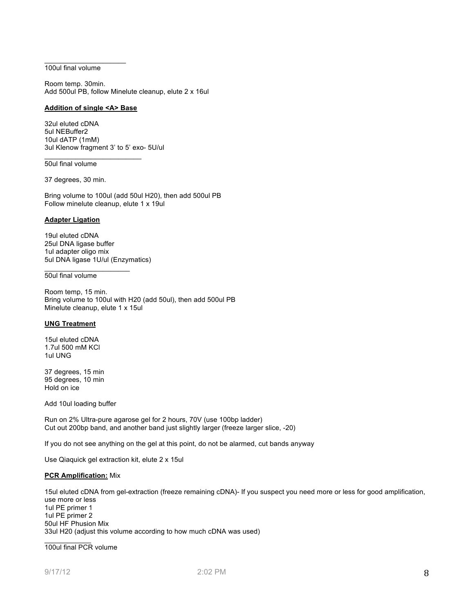#### $\overline{\phantom{a}}$  , where  $\overline{\phantom{a}}$ 100ul final volume

Room temp. 30min. Add 500ul PB, follow Minelute cleanup, elute 2 x 16ul

## **Addition of single <A> Base**

 $\overline{\phantom{a}}$  , where  $\overline{\phantom{a}}$  , where  $\overline{\phantom{a}}$  , where  $\overline{\phantom{a}}$ 

32ul eluted cDNA 5ul NEBuffer2 10ul dATP (1mM) 3ul Klenow fragment 3' to 5' exo- 5U/ul

## 50ul final volume

37 degrees, 30 min.

Bring volume to 100ul (add 50ul H20), then add 500ul PB Follow minelute cleanup, elute 1 x 19ul

#### **Adapter Ligation**

19ul eluted cDNA 25ul DNA ligase buffer 1ul adapter oligo mix 5ul DNA ligase 1U/ul (Enzymatics)

 $\overline{\phantom{a}}$  , where  $\overline{\phantom{a}}$ 

#### 50ul final volume

Room temp, 15 min. Bring volume to 100ul with H20 (add 50ul), then add 500ul PB Minelute cleanup, elute 1 x 15ul

#### **UNG Treatment**

15ul eluted cDNA 1.7ul 500 mM KCl 1ul UNG

37 degrees, 15 min 95 degrees, 10 min Hold on ice

Add 10ul loading buffer

Run on 2% Ultra-pure agarose gel for 2 hours, 70V (use 100bp ladder) Cut out 200bp band, and another band just slightly larger (freeze larger slice, -20)

If you do not see anything on the gel at this point, do not be alarmed, cut bands anyway

Use Qiaquick gel extraction kit, elute 2 x 15ul

## **PCR Amplification:** Mix

15ul eluted cDNA from gel-extraction (freeze remaining cDNA)- If you suspect you need more or less for good amplification, use more or less 1ul PE primer 1 1ul PE primer 2 50ul HF Phusion Mix 33ul H20 (adjust this volume according to how much cDNA was used)

 $\frac{1}{2}$ 100ul final PCR volume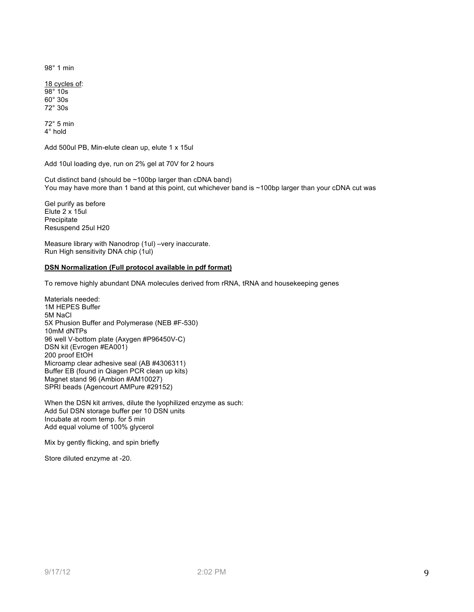98° 1 min

18 cycles of: 98° 10s 60° 30s 72° 30s

72° 5 min 4° hold

Add 500ul PB, Min-elute clean up, elute 1 x 15ul

Add 10ul loading dye, run on 2% gel at 70V for 2 hours

Cut distinct band (should be ~100bp larger than cDNA band) You may have more than 1 band at this point, cut whichever band is ~100bp larger than your cDNA cut was

Gel purify as before Elute 2 x 15ul Precipitate Resuspend 25ul H20

Measure library with Nanodrop (1ul) –very inaccurate. Run High sensitivity DNA chip (1ul)

## **DSN Normalization (Full protocol available in pdf format)**

To remove highly abundant DNA molecules derived from rRNA, tRNA and housekeeping genes

Materials needed: 1M HEPES Buffer 5M NaCl 5X Phusion Buffer and Polymerase (NEB #F-530) 10mM dNTPs 96 well V-bottom plate (Axygen #P96450V-C) DSN kit (Evrogen #EA001) 200 proof EtOH Microamp clear adhesive seal (AB #4306311) Buffer EB (found in Qiagen PCR clean up kits) Magnet stand 96 (Ambion #AM10027) SPRI beads (Agencourt AMPure #29152)

When the DSN kit arrives, dilute the lyophilized enzyme as such: Add 5ul DSN storage buffer per 10 DSN units Incubate at room temp. for 5 min Add equal volume of 100% glycerol

Mix by gently flicking, and spin briefly

Store diluted enzyme at -20.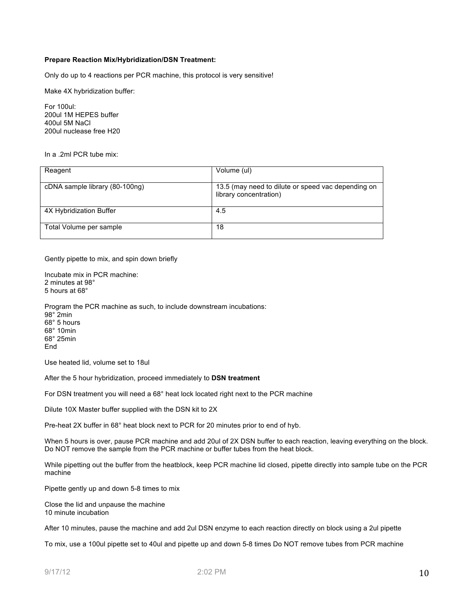## **Prepare Reaction Mix/Hybridization/DSN Treatment:**

Only do up to 4 reactions per PCR machine, this protocol is very sensitive!

Make 4X hybridization buffer:

For 100ul: 200ul 1M HEPES buffer 400ul 5M NaCl 200ul nuclease free H20

In a .2ml PCR tube mix:

| Reagent                        | Volume (ul)                                                                  |
|--------------------------------|------------------------------------------------------------------------------|
|                                |                                                                              |
| cDNA sample library (80-100ng) | 13.5 (may need to dilute or speed vac depending on<br>library concentration) |
| 4X Hybridization Buffer        | 4.5                                                                          |
| Total Volume per sample        | 18                                                                           |

Gently pipette to mix, and spin down briefly

Incubate mix in PCR machine: 2 minutes at 98° 5 hours at 68°

Program the PCR machine as such, to include downstream incubations: 98° 2min 68° 5 hours 68° 10min 68° 25min **End** 

Use heated lid, volume set to 18ul

After the 5 hour hybridization, proceed immediately to **DSN treatment**

For DSN treatment you will need a 68° heat lock located right next to the PCR machine

Dilute 10X Master buffer supplied with the DSN kit to 2X

Pre-heat 2X buffer in 68° heat block next to PCR for 20 minutes prior to end of hyb.

When 5 hours is over, pause PCR machine and add 20ul of 2X DSN buffer to each reaction, leaving everything on the block. Do NOT remove the sample from the PCR machine or buffer tubes from the heat block.

While pipetting out the buffer from the heatblock, keep PCR machine lid closed, pipette directly into sample tube on the PCR machine

Pipette gently up and down 5-8 times to mix

Close the lid and unpause the machine 10 minute incubation

After 10 minutes, pause the machine and add 2ul DSN enzyme to each reaction directly on block using a 2ul pipette

To mix, use a 100ul pipette set to 40ul and pipette up and down 5-8 times Do NOT remove tubes from PCR machine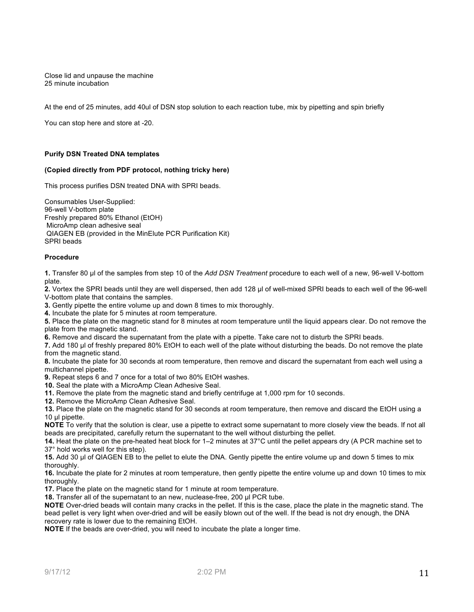Close lid and unpause the machine 25 minute incubation

At the end of 25 minutes, add 40ul of DSN stop solution to each reaction tube, mix by pipetting and spin briefly

You can stop here and store at -20.

## **Purify DSN Treated DNA templates**

## **(Copied directly from PDF protocol, nothing tricky here)**

This process purifies DSN treated DNA with SPRI beads.

Consumables User-Supplied: 96-well V-bottom plate Freshly prepared 80% Ethanol (EtOH) MicroAmp clean adhesive seal QIAGEN EB (provided in the MinElute PCR Purification Kit) SPRI beads

#### **Procedure**

**1.** Transfer 80 µl of the samples from step 10 of the *Add DSN Treatment* procedure to each well of a new, 96-well V-bottom plate.

**2.** Vortex the SPRI beads until they are well dispersed, then add 128 µl of well-mixed SPRI beads to each well of the 96-well V-bottom plate that contains the samples.

**3.** Gently pipette the entire volume up and down 8 times to mix thoroughly.

**4.** Incubate the plate for 5 minutes at room temperature.

**5.** Place the plate on the magnetic stand for 8 minutes at room temperature until the liquid appears clear. Do not remove the plate from the magnetic stand.

**6.** Remove and discard the supernatant from the plate with a pipette. Take care not to disturb the SPRI beads.

**7.** Add 180 µl of freshly prepared 80% EtOH to each well of the plate without disturbing the beads. Do not remove the plate from the magnetic stand.

**8.** Incubate the plate for 30 seconds at room temperature, then remove and discard the supernatant from each well using a multichannel pipette.

**9.** Repeat steps 6 and 7 once for a total of two 80% EtOH washes.

**10.** Seal the plate with a MicroAmp Clean Adhesive Seal.

**11.** Remove the plate from the magnetic stand and briefly centrifuge at 1,000 rpm for 10 seconds.

**12.** Remove the MicroAmp Clean Adhesive Seal.

**13.** Place the plate on the magnetic stand for 30 seconds at room temperature, then remove and discard the EtOH using a 10 µl pipette.

**NOTE** To verify that the solution is clear, use a pipette to extract some supernatant to more closely view the beads. If not all beads are precipitated, carefully return the supernatant to the well without disturbing the pellet.

**14.** Heat the plate on the pre-heated heat block for 1–2 minutes at 37°C until the pellet appears dry (A PCR machine set to 37° hold works well for this step).

**15.** Add 30 µl of QIAGEN EB to the pellet to elute the DNA. Gently pipette the entire volume up and down 5 times to mix thoroughly.

**16.** Incubate the plate for 2 minutes at room temperature, then gently pipette the entire volume up and down 10 times to mix thoroughly.

**17.** Place the plate on the magnetic stand for 1 minute at room temperature.

**18.** Transfer all of the supernatant to an new, nuclease-free, 200 µl PCR tube.

**NOTE** Over-dried beads will contain many cracks in the pellet. If this is the case, place the plate in the magnetic stand. The bead pellet is very light when over-dried and will be easily blown out of the well. If the bead is not dry enough, the DNA recovery rate is lower due to the remaining EtOH.

**NOTE** If the beads are over-dried, you will need to incubate the plate a longer time.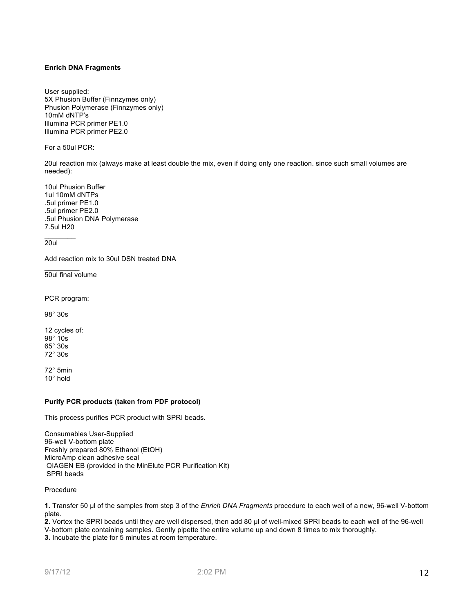## **Enrich DNA Fragments**

User supplied: 5X Phusion Buffer (Finnzymes only) Phusion Polymerase (Finnzymes only) 10mM dNTP's Illumina PCR primer PE1.0 Illumina PCR primer PE2.0

For a 50ul PCR:

20ul reaction mix (always make at least double the mix, even if doing only one reaction. since such small volumes are needed):

10ul Phusion Buffer 1ul 10mM dNTPs .5ul primer PE1.0 .5ul primer PE2.0 .5ul Phusion DNA Polymerase 7.5ul H20

20ul

 $\frac{1}{2}$ 

 $\frac{1}{2}$ 

Add reaction mix to 30ul DSN treated DNA

50ul final volume

PCR program:

98° 30s

12 cycles of: 98° 10s 65° 30s 72° 30s

72° 5min 10° hold

## **Purify PCR products (taken from PDF protocol)**

This process purifies PCR product with SPRI beads.

Consumables User-Supplied 96-well V-bottom plate Freshly prepared 80% Ethanol (EtOH) MicroAmp clean adhesive seal QIAGEN EB (provided in the MinElute PCR Purification Kit) SPRI beads

Procedure

**1.** Transfer 50 µl of the samples from step 3 of the *Enrich DNA Fragments* procedure to each well of a new, 96-well V-bottom plate.

**2.** Vortex the SPRI beads until they are well dispersed, then add 80 µl of well-mixed SPRI beads to each well of the 96-well V-bottom plate containing samples. Gently pipette the entire volume up and down 8 times to mix thoroughly. **3.** Incubate the plate for 5 minutes at room temperature.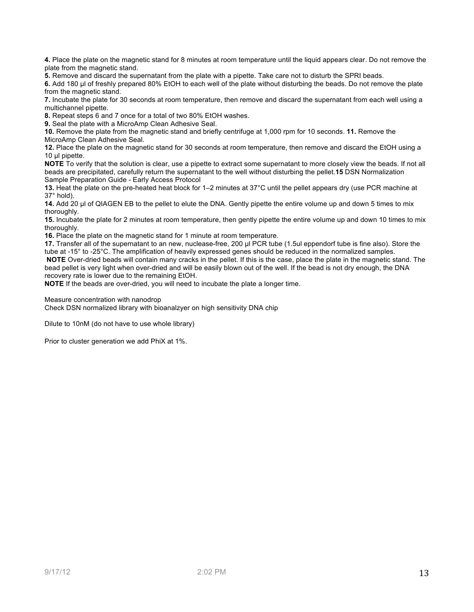**4.** Place the plate on the magnetic stand for 8 minutes at room temperature until the liquid appears clear. Do not remove the plate from the magnetic stand.

**5.** Remove and discard the supernatant from the plate with a pipette. Take care not to disturb the SPRI beads.

**6.** Add 180 µl of freshly prepared 80% EtOH to each well of the plate without disturbing the beads. Do not remove the plate from the magnetic stand.

**7.** Incubate the plate for 30 seconds at room temperature, then remove and discard the supernatant from each well using a multichannel pipette.

**8.** Repeat steps 6 and 7 once for a total of two 80% EtOH washes.

**9.** Seal the plate with a MicroAmp Clean Adhesive Seal.

**10.** Remove the plate from the magnetic stand and briefly centrifuge at 1,000 rpm for 10 seconds. **11.** Remove the MicroAmp Clean Adhesive Seal.

**12.** Place the plate on the magnetic stand for 30 seconds at room temperature, then remove and discard the EtOH using a 10 ul pipette.

**NOTE** To verify that the solution is clear, use a pipette to extract some supernatant to more closely view the beads. If not all beads are precipitated, carefully return the supernatant to the well without disturbing the pellet.**15** DSN Normalization Sample Preparation Guide - Early Access Protocol

**13.** Heat the plate on the pre-heated heat block for 1–2 minutes at 37°C until the pellet appears dry (use PCR machine at 37° hold).

**14.** Add 20 µl of QIAGEN EB to the pellet to elute the DNA. Gently pipette the entire volume up and down 5 times to mix thoroughly.

**15.** Incubate the plate for 2 minutes at room temperature, then gently pipette the entire volume up and down 10 times to mix thoroughly.

**16.** Place the plate on the magnetic stand for 1 minute at room temperature.

**17.** Transfer all of the supernatant to an new, nuclease-free, 200 µl PCR tube (1.5ul eppendorf tube is fine also). Store the tube at -15° to -25°C. The amplification of heavily expressed genes should be reduced in the normalized samples. **NOTE** Over-dried beads will contain many cracks in the pellet. If this is the case, place the plate in the magnetic stand. The bead pellet is very light when over-dried and will be easily blown out of the well. If the bead is not dry enough, the DNA recovery rate is lower due to the remaining EtOH.

**NOTE** If the beads are over-dried, you will need to incubate the plate a longer time.

Measure concentration with nanodrop

Check DSN normalized library with bioanalzyer on high sensitivity DNA chip

Dilute to 10nM (do not have to use whole library)

Prior to cluster generation we add PhiX at 1%.